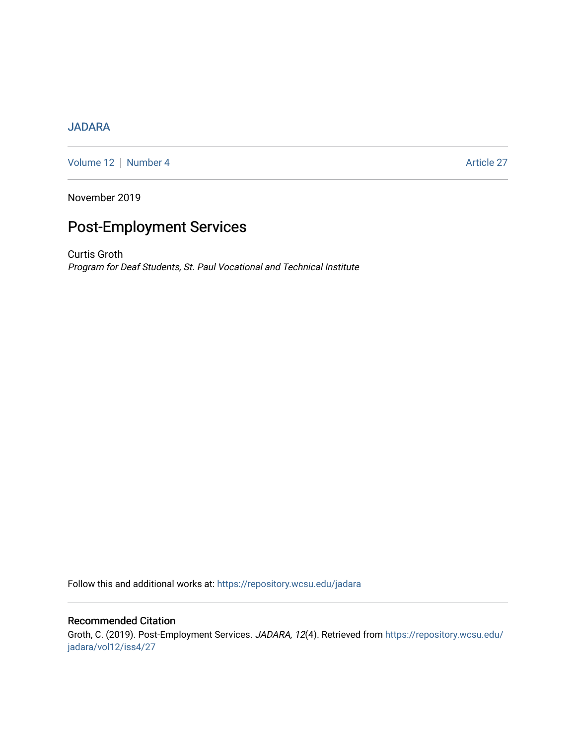## [JADARA](https://repository.wcsu.edu/jadara)

[Volume 12](https://repository.wcsu.edu/jadara/vol12) | [Number 4](https://repository.wcsu.edu/jadara/vol12/iss4) Article 27

November 2019

# Post-Employment Services

Curtis Groth Program for Deaf Students, St. Paul Vocational and Technical Institute

Follow this and additional works at: [https://repository.wcsu.edu/jadara](https://repository.wcsu.edu/jadara?utm_source=repository.wcsu.edu%2Fjadara%2Fvol12%2Fiss4%2F27&utm_medium=PDF&utm_campaign=PDFCoverPages)

## Recommended Citation

Groth, C. (2019). Post-Employment Services. JADARA, 12(4). Retrieved from [https://repository.wcsu.edu/](https://repository.wcsu.edu/jadara/vol12/iss4/27?utm_source=repository.wcsu.edu%2Fjadara%2Fvol12%2Fiss4%2F27&utm_medium=PDF&utm_campaign=PDFCoverPages) [jadara/vol12/iss4/27](https://repository.wcsu.edu/jadara/vol12/iss4/27?utm_source=repository.wcsu.edu%2Fjadara%2Fvol12%2Fiss4%2F27&utm_medium=PDF&utm_campaign=PDFCoverPages)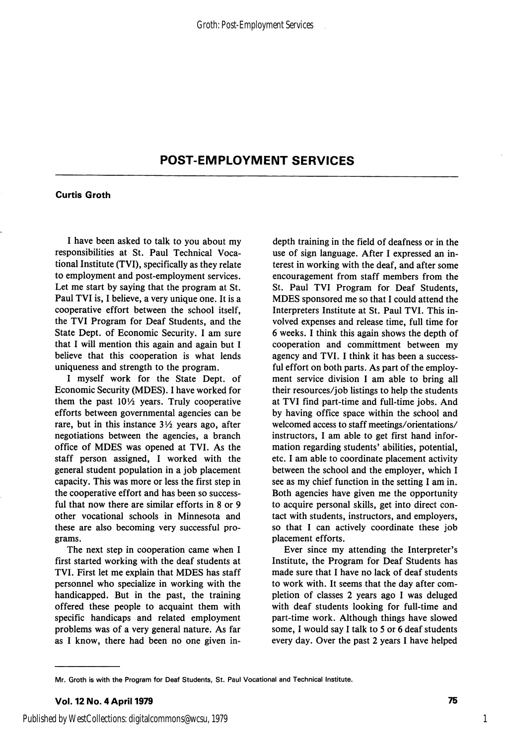## POST-EMPLOYMENT SERVICES

#### Curtis Groth

I have been asked to talk to you about my responsibilities at St. Paul Technical Voca tional Institute (TVI), specifically as they relate to employment and post-employment services. Let me start by saying that the program at St. Paul TVI is, I believe, a very unique one. It is a cooperative effort between the school itself, the TVI Program for Deaf Students, and the State Dept. of Economic Security. I am sure that I will mention this again and again but I believe that this cooperation is what lends uniqueness and strength to the program.

I myself work for the State Dept. of Economic Security (MDES). I have worked for them the past  $10\frac{1}{2}$  years. Truly cooperative efforts between governmental agencies can be rare, but in this instance  $3\frac{1}{2}$  years ago, after negotiations between the agencies, a branch office of MDES was opened at TVI. As the staff person assigned, I worked with the general student population in a job placement capacity. This was more or less the first step in the cooperative effort and has been so success ful that now there are similar efforts in 8 or 9 other vocational schools in Minnesota and these are also becoming very successful pro grams.

The next step in cooperation came when I first started working with the deaf students at TVI. First let me explain that MDES has staff personnel who specialize in working with the handicapped. But in the past, the training offered these people to acquaint them with specific handicaps and related employment problems was of a very general nature. As far as I know, there had been no one given indepth training in the field of deafness or in the use of sign language. After I expressed an in terest in working with the deaf, and after some encouragement from staff members from the St. Paul TVI Program for Deaf Students, MDES sponsored me so that I could attend the Interpreters Institute at St. Paul TVI. This in volved expenses and release time, full time for 6 weeks. I think this again shows the depth of cooperation and committment between my agency and TVI. I think it has been a success ful effort on both parts. As part of the employ ment service division I am able to bring all their resources/job listings to help the students at TVI find part-time and full-time jobs. And by having office space within the school and welcomed access to staff meetings/orientations/ instructors, I am able to get first hand infor mation regarding students' abilities, potential, etc. I am able to coordinate placement activity between the school and the employer, which I see as my chief function in the setting I am in. Both agencies have given me the opportunity to acquire personal skills, get into direct con tact with students, instructors, and employers, so that I can actively coordinate these job placement efforts.

Ever since my attending the Interpreter's Institute, the Program for Deaf Students has made sure that I have no lack of deaf students to work with. It seems that the day after com pletion of classes 2 years ago I was deluged with deaf students looking for full-time and part-time work. Although things have slowed some, I would say I talk to 5 or 6 deaf students every day. Over the past 2 years I have helped

Mr. Groth is with the Program for Deaf Students, St. Paul Vocational and Technical Institute.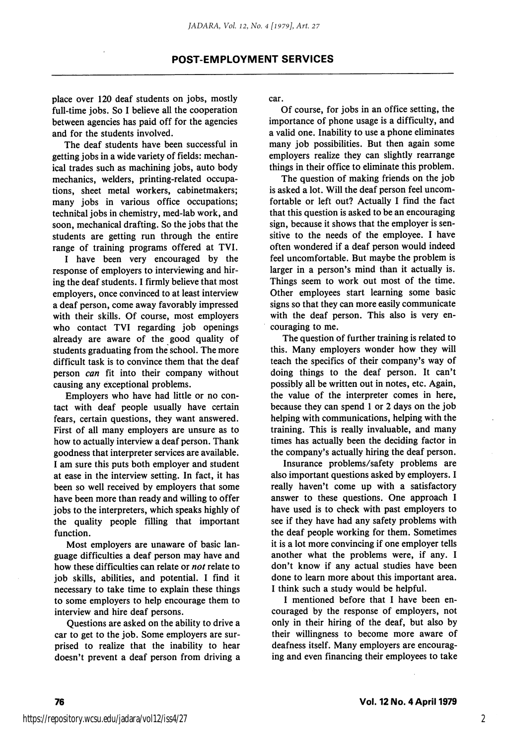place over 120 deaf students on jobs, mostly full-time jobs. So I believe all the cooperation between agencies has paid off for the agencies and for the students involved.

The deaf students have been successful in getting jobs in a wide variety of fields: mechan ical trades such as machining jobs, auto body mechanics, welders, printing-related occupa tions, sheet metal workers, cabinetmakers; many jobs in various office occupations; technical jobs in chemistry, med-lab work, and soon, mechanical drafting. So the jobs that the students are getting run through the entire range of training programs offered at TVI.

I have been very encouraged by the response of employers to interviewing and hir ing the deaf students. I firmly believe that most employers, once convinced to at least interview a deaf person, come away favorably impressed with their skills. Of course, most employers who contact TVI regarding job openings already are aware of the good quality of students graduating from the school. The more difficult task is to convince them that the deaf person can fit into their company without causing any exceptional problems.

Employers who have had little or no con tact with deaf people usually have certain fears, certain questions, they want answered. First of all many employers are unsure as to how to actually interview a deaf person. Thank goodness that interpreter services are available. I am sure this puts both employer and student at ease in the interview setting. In fact, it has been so well received by employers that some have been more than ready and willing to offer jobs to the interpreters, which speaks highly of the quality people filling that important function.

Most employers are unaware of basic lan guage difficulties a deaf person may have and how these difficulties can relate or not relate to job skills, abilities, and potential. I find it necessary to take time to explain these things to some employers to help encourage them to interview and hire deaf persons.

Questions are asked on the ability to drive a car to get to the job. Some employers are sur prised to realize that the inability to hear doesn't prevent a deaf person from driving a

car.

Of course, for jobs in an office setting, the importance of phone usage is a difficulty, and a valid one. Inability to use a phone eliminates many job possibilities. But then again some employers realize they can slightly rearrange things in their office to eliminate this problem.

The question of making friends on the job is asked a lot. Will the deaf person feel uncom fortable or left out? Actually I find the fact that this question is asked to be an encouraging sign, because it shows that the employer is sen sitive to the needs of the employee. I have often wondered if a deaf person would indeed feel uncomfortable. But maybe the problem is larger in a person's mind than it actually is. Things seem to work out most of the time. Other employees start learning some basic signs so that they can more easily communicate with the deaf person. This also is very en couraging to me.

The question of further training is related to this. Many employers wonder how they will teach the specifics of their company's way of doing things to the deaf person. It can't possibly all be written out in notes, etc. Again, the value of the interpreter comes in here, because they can spend 1 or 2 days on the job helping with communications, helping with the training. This is really invaluable, and many times has actually been the deciding factor in the company's actually hiring the deaf person.

Insurance problems/safety problems are also important questions asked by employers. I really haven't come up with a satisfactory answer to these questions. One approach I have used is to check with past employers to see if they have had any safety problems with the deaf people working for them. Sometimes it is a lot more convincing if one employer tells another what the problems were, if any. I don't know if any actual studies have been done to learn more about this important area. I think such a study would be helpful.

I mentioned before that I have been en couraged by the response of employers, not only in their hiring of the deaf, but also by their willingness to become more aware of deafness itself. Many employers are encourag ing and even financing their employees to take

2